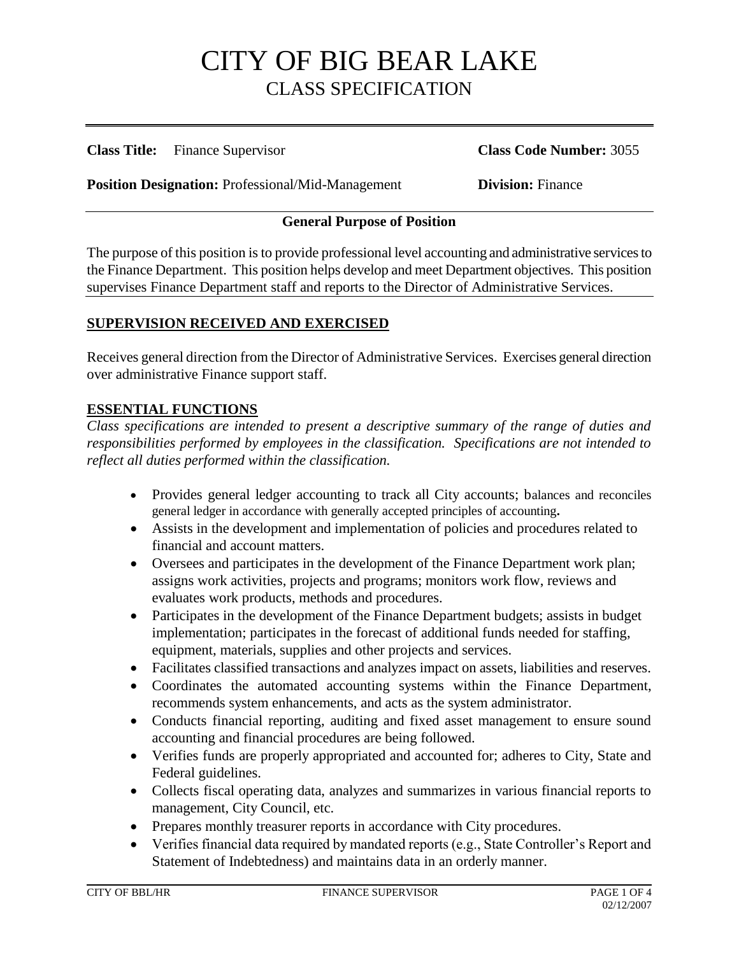**Class Title:** Finance Supervisor **Class Code Number:** 3055

**Position Designation:** Professional/Mid-Management **Division:** Finance

### **General Purpose of Position**

The purpose of this position is to provide professional level accounting and administrative services to the Finance Department. This position helps develop and meet Department objectives. This position supervises Finance Department staff and reports to the Director of Administrative Services.

### **SUPERVISION RECEIVED AND EXERCISED**

Receives general direction from the Director of Administrative Services. Exercises general direction over administrative Finance support staff.

### **ESSENTIAL FUNCTIONS**

*Class specifications are intended to present a descriptive summary of the range of duties and responsibilities performed by employees in the classification. Specifications are not intended to reflect all duties performed within the classification.*

- Provides general ledger accounting to track all City accounts; balances and reconciles general ledger in accordance with generally accepted principles of accounting**.**
- Assists in the development and implementation of policies and procedures related to financial and account matters.
- Oversees and participates in the development of the Finance Department work plan; assigns work activities, projects and programs; monitors work flow, reviews and evaluates work products, methods and procedures.
- Participates in the development of the Finance Department budgets; assists in budget implementation; participates in the forecast of additional funds needed for staffing, equipment, materials, supplies and other projects and services.
- Facilitates classified transactions and analyzes impact on assets, liabilities and reserves.
- Coordinates the automated accounting systems within the Finance Department, recommends system enhancements, and acts as the system administrator.
- Conducts financial reporting, auditing and fixed asset management to ensure sound accounting and financial procedures are being followed.
- Verifies funds are properly appropriated and accounted for; adheres to City, State and Federal guidelines.
- Collects fiscal operating data, analyzes and summarizes in various financial reports to management, City Council, etc.
- Prepares monthly treasurer reports in accordance with City procedures.
- Verifies financial data required by mandated reports (e.g., State Controller's Report and Statement of Indebtedness) and maintains data in an orderly manner.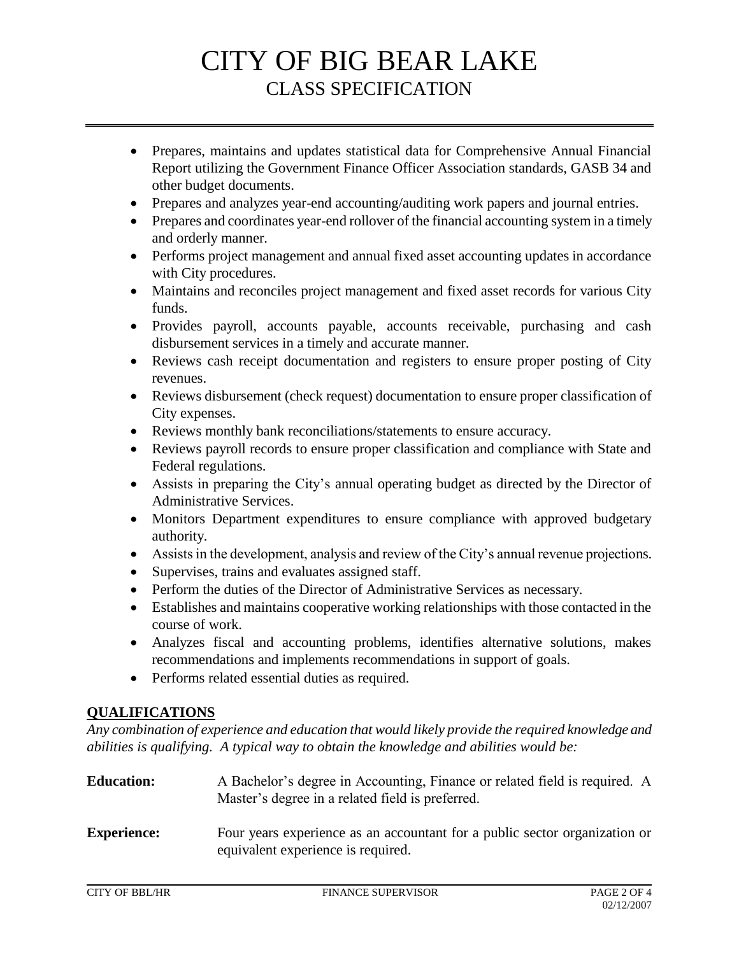- Prepares, maintains and updates statistical data for Comprehensive Annual Financial Report utilizing the Government Finance Officer Association standards, GASB 34 and other budget documents.
- Prepares and analyzes year-end accounting/auditing work papers and journal entries.
- Prepares and coordinates year-end rollover of the financial accounting system in a timely and orderly manner.
- Performs project management and annual fixed asset accounting updates in accordance with City procedures.
- Maintains and reconciles project management and fixed asset records for various City funds.
- Provides payroll, accounts payable, accounts receivable, purchasing and cash disbursement services in a timely and accurate manner.
- Reviews cash receipt documentation and registers to ensure proper posting of City revenues.
- Reviews disbursement (check request) documentation to ensure proper classification of City expenses.
- Reviews monthly bank reconciliations/statements to ensure accuracy.
- Reviews payroll records to ensure proper classification and compliance with State and Federal regulations.
- Assists in preparing the City's annual operating budget as directed by the Director of Administrative Services.
- Monitors Department expenditures to ensure compliance with approved budgetary authority.
- Assists in the development, analysis and review of the City's annual revenue projections.
- Supervises, trains and evaluates assigned staff.
- Perform the duties of the Director of Administrative Services as necessary.
- Establishes and maintains cooperative working relationships with those contacted in the course of work.
- Analyzes fiscal and accounting problems, identifies alternative solutions, makes recommendations and implements recommendations in support of goals.
- Performs related essential duties as required.

### **QUALIFICATIONS**

*Any combination of experience and education that would likely provide the required knowledge and abilities is qualifying. A typical way to obtain the knowledge and abilities would be:*

| <b>Education:</b> | A Bachelor's degree in Accounting, Finance or related field is required. A |
|-------------------|----------------------------------------------------------------------------|
|                   | Master's degree in a related field is preferred.                           |

**Experience:** Four years experience as an accountant for a public sector organization or equivalent experience is required.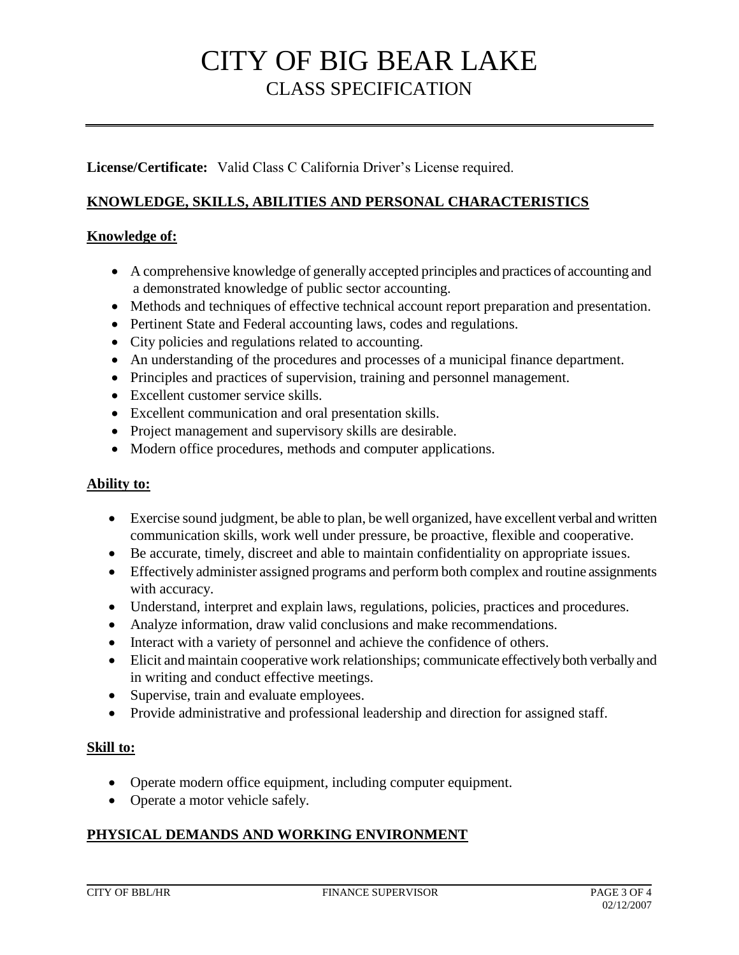**License/Certificate:** Valid Class C California Driver's License required.

## **KNOWLEDGE, SKILLS, ABILITIES AND PERSONAL CHARACTERISTICS**

### **Knowledge of:**

- A comprehensive knowledge of generally accepted principles and practices of accounting and a demonstrated knowledge of public sector accounting.
- Methods and techniques of effective technical account report preparation and presentation.
- Pertinent State and Federal accounting laws, codes and regulations.
- City policies and regulations related to accounting.
- An understanding of the procedures and processes of a municipal finance department.
- Principles and practices of supervision, training and personnel management.
- Excellent customer service skills.
- Excellent communication and oral presentation skills.
- Project management and supervisory skills are desirable.
- Modern office procedures, methods and computer applications.

### **Ability to:**

- Exercise sound judgment, be able to plan, be well organized, have excellent verbal and written communication skills, work well under pressure, be proactive, flexible and cooperative.
- Be accurate, timely, discreet and able to maintain confidentiality on appropriate issues.
- Effectively administer assigned programs and perform both complex and routine assignments with accuracy.
- Understand, interpret and explain laws, regulations, policies, practices and procedures.
- Analyze information, draw valid conclusions and make recommendations.
- Interact with a variety of personnel and achieve the confidence of others.
- Elicit and maintain cooperative work relationships; communicate effectively both verbally and in writing and conduct effective meetings.
- Supervise, train and evaluate employees.
- Provide administrative and professional leadership and direction for assigned staff.

### **Skill to:**

- Operate modern office equipment, including computer equipment.
- Operate a motor vehicle safely.

## **PHYSICAL DEMANDS AND WORKING ENVIRONMENT**